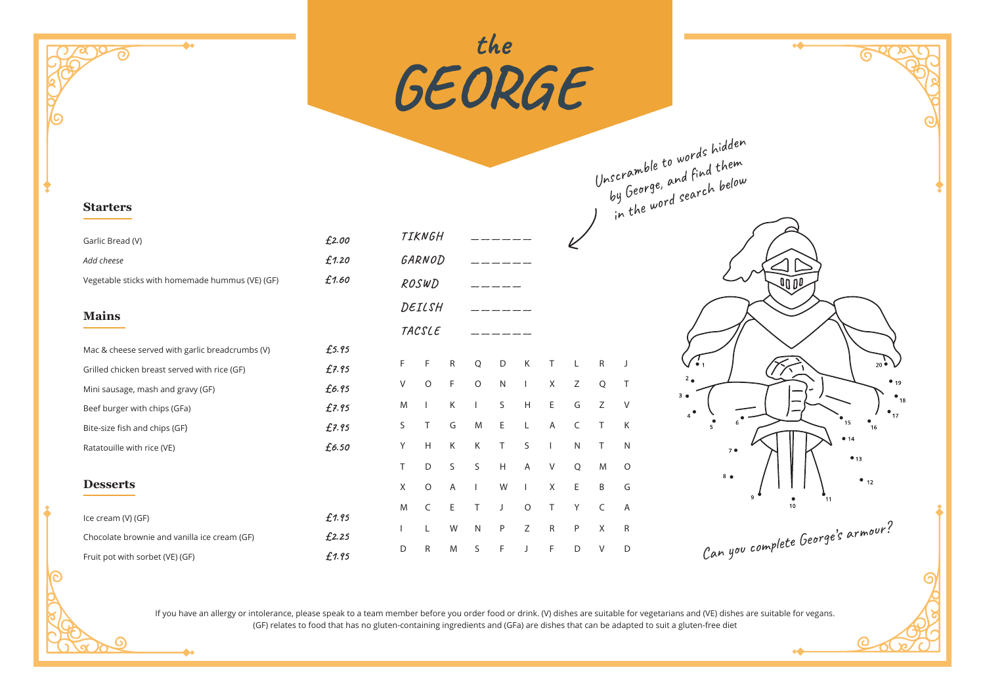

If you have an allergy or intolerance, please speak to a team member before you order food or drink. (V) dishes are suitable for vegetarians and (VE) dishes are suitable for vegans. (GF) relates to food that has no gluten-containing ingredients and (GFa) are dishes that can be adapted to suit a gluten-free diet

 $\bullet$